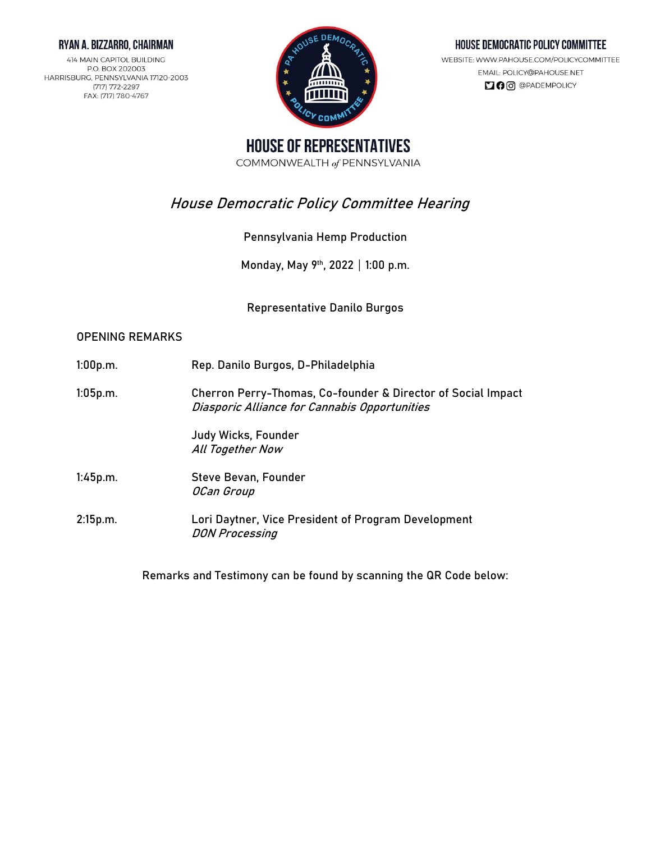414 MAIN CAPITOL BUILDING P.O. BOX 202003 HARRISBURG, PENNSYLVANIA 17120-2003 (717) 772-2297 FAX: (717) 780-4767



#### HOUSE DEMOCRATIC POLICY COMMITTEE

WEBSITE: WWW.PAHOUSE.COM/POLICYCOMMITTEE EMAIL: POLICY@PAHOUSE.NET 

**HOUSE OF REPRESENTATIVES** COMMONWEALTH of PENNSYLVANIA

### **House Democratic Policy Committee Hearing**

### **Pennsylvania Hemp Production**

Monday, May 9<sup>th</sup>, 2022 | 1:00 p.m.

### **Representative Danilo Burgos**

#### **OPENING REMARKS**

- **1:00p.m. Rep. Danilo Burgos,** D-Philadelphia
- **1:05p.m. Cherron Perry-Thomas,** Co-founder & Director of Social Impact Diasporic Alliance for Cannabis Opportunities

**Judy Wicks,** Founder All Together Now

**1:45p.m. Steve Bevan,** Founder OCan Group

**2:15p.m. Lori Daytner,** Vice President of Program Development DON Processing

Remarks and Testimony can be found by scanning the QR Code below: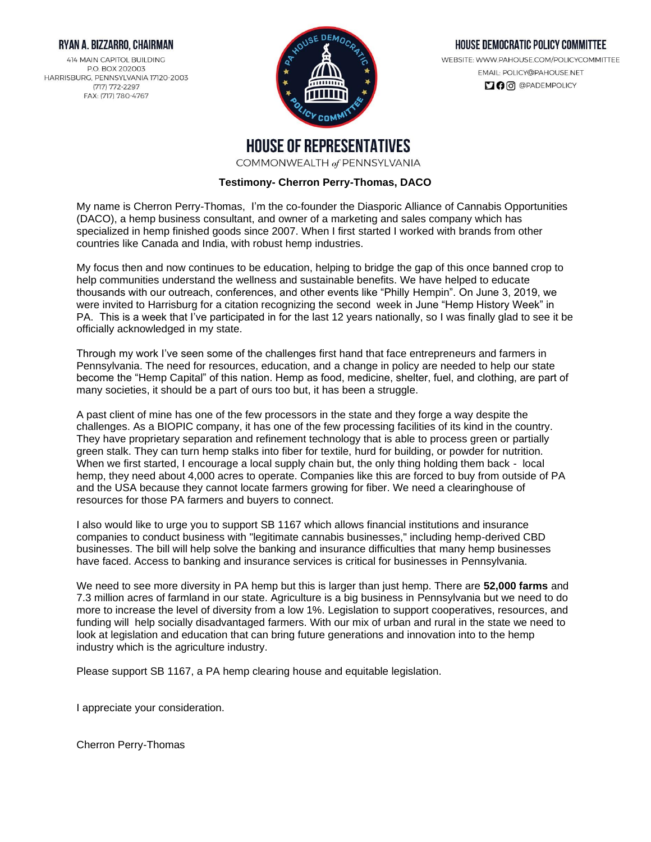414 MAIN CAPITOL BUILDING P.O. BOX 202003 HARRISBURG, PENNSYLVANIA 17120-2003 (717) 772-2297 FAX: (717) 780-4767



#### HOUSE DEMOCRATIC POLICY COMMITTEE

WEBSITE: WWW.PAHOUSE.COM/POLICYCOMMITTEE EMAIL: POLICY@PAHOUSE.NET 

**HOUSE OF REPRESENTATIVES** 

COMMONWEALTH of PENNSYLVANIA

#### **Testimony- Cherron Perry-Thomas, DACO**

My name is Cherron Perry-Thomas, I'm the co-founder the Diasporic Alliance of Cannabis Opportunities (DACO), a hemp business consultant, and owner of a marketing and sales company which has specialized in hemp finished goods since 2007. When I first started I worked with brands from other countries like Canada and India, with robust hemp industries.

My focus then and now continues to be education, helping to bridge the gap of this once banned crop to help communities understand the wellness and sustainable benefits. We have helped to educate thousands with our outreach, conferences, and other events like "Philly Hempin". On June 3, 2019, we were invited to Harrisburg for a citation recognizing the second week in June "Hemp History Week" in PA. This is a week that I've participated in for the last 12 years nationally, so I was finally glad to see it be officially acknowledged in my state.

Through my work I've seen some of the challenges first hand that face entrepreneurs and farmers in Pennsylvania. The need for resources, education, and a change in policy are needed to help our state become the "Hemp Capital" of this nation. Hemp as food, medicine, shelter, fuel, and clothing, are part of many societies, it should be a part of ours too but, it has been a struggle.

A past client of mine has one of the few processors in the state and they forge a way despite the challenges. As a BIOPIC company, it has one of the few processing facilities of its kind in the country. They have proprietary separation and refinement technology that is able to process green or partially green stalk. They can turn hemp stalks into fiber for textile, hurd for building, or powder for nutrition. When we first started. I encourage a local supply chain but, the only thing holding them back - local hemp, they need about 4,000 acres to operate. Companies like this are forced to buy from outside of PA and the USA because they cannot locate farmers growing for fiber. We need a clearinghouse of resources for those PA farmers and buyers to connect.

I also would like to urge you to support SB 1167 which allows financial institutions and insurance companies to conduct business with "legitimate cannabis businesses," including hemp-derived CBD businesses. The bill will help solve the banking and insurance difficulties that many hemp businesses have faced. Access to banking and insurance services is critical for businesses in Pennsylvania.

We need to see more diversity in PA hemp but this is larger than just hemp. There are **52,000 farms** and 7.3 million acres of farmland in our state. Agriculture is a big business in Pennsylvania but we need to do more to increase the level of diversity from a low 1%. Legislation to support cooperatives, resources, and funding will help socially disadvantaged farmers. With our mix of urban and rural in the state we need to look at legislation and education that can bring future generations and innovation into to the hemp industry which is the agriculture industry.

Please support SB 1167, a PA hemp clearing house and equitable legislation.

I appreciate your consideration.

Cherron Perry-Thomas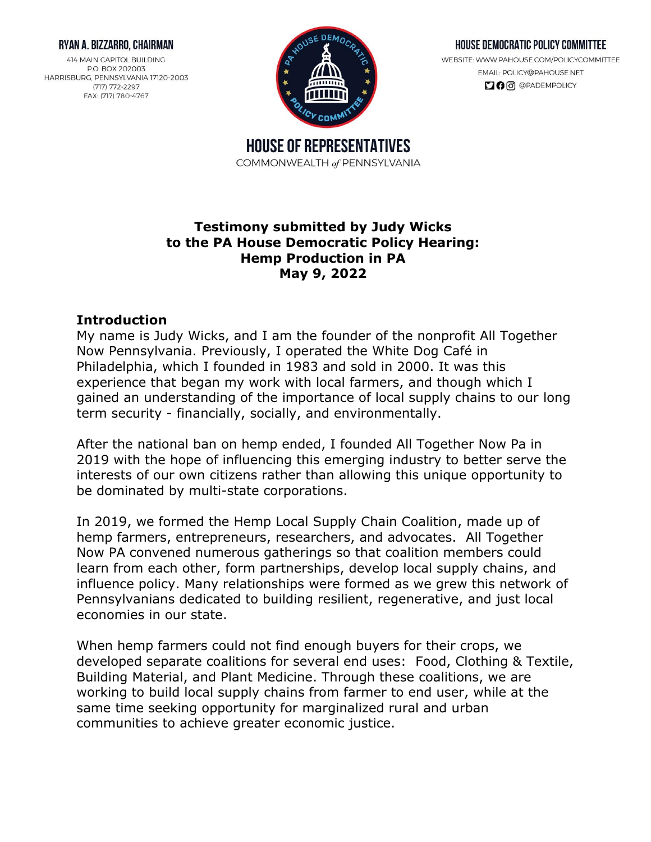414 MAIN CAPITOL BUILDING P.O. BOX 202003 HARRISBURG, PENNSYLVANIA 17120-2003 (717) 772-2297 FAX: (717) 780-4767



#### **HOUSE DEMOCRATIC POLICY COMMITTEE**

WEBSITE: WWW.PAHOUSE.COM/POLICYCOMMITTEE EMAIL: POLICY@PAHOUSE.NET **DO** @PADEMPOLICY

**HOUSE OF REPRESENTATIVES** COMMONWEALTH of PENNSYLVANIA

### **Testimony submitted by Judy Wicks to the PA House Democratic Policy Hearing: Hemp Production in PA May 9, 2022**

### **Introduction**

My name is Judy Wicks, and I am the founder of the nonprofit All Together Now Pennsylvania. Previously, I operated the White Dog Café in Philadelphia, which I founded in 1983 and sold in 2000. It was this experience that began my work with local farmers, and though which I gained an understanding of the importance of local supply chains to our long term security - financially, socially, and environmentally.

After the national ban on hemp ended, I founded All Together Now Pa in 2019 with the hope of influencing this emerging industry to better serve the interests of our own citizens rather than allowing this unique opportunity to be dominated by multi-state corporations.

In 2019, we formed the Hemp Local Supply Chain Coalition, made up of hemp farmers, entrepreneurs, researchers, and advocates. All Together Now PA convened numerous gatherings so that coalition members could learn from each other, form partnerships, develop local supply chains, and influence policy. Many relationships were formed as we grew this network of Pennsylvanians dedicated to building resilient, regenerative, and just local economies in our state.

When hemp farmers could not find enough buyers for their crops, we developed separate coalitions for several end uses: Food, Clothing & Textile, Building Material, and Plant Medicine. Through these coalitions, we are working to build local supply chains from farmer to end user, while at the same time seeking opportunity for marginalized rural and urban communities to achieve greater economic justice.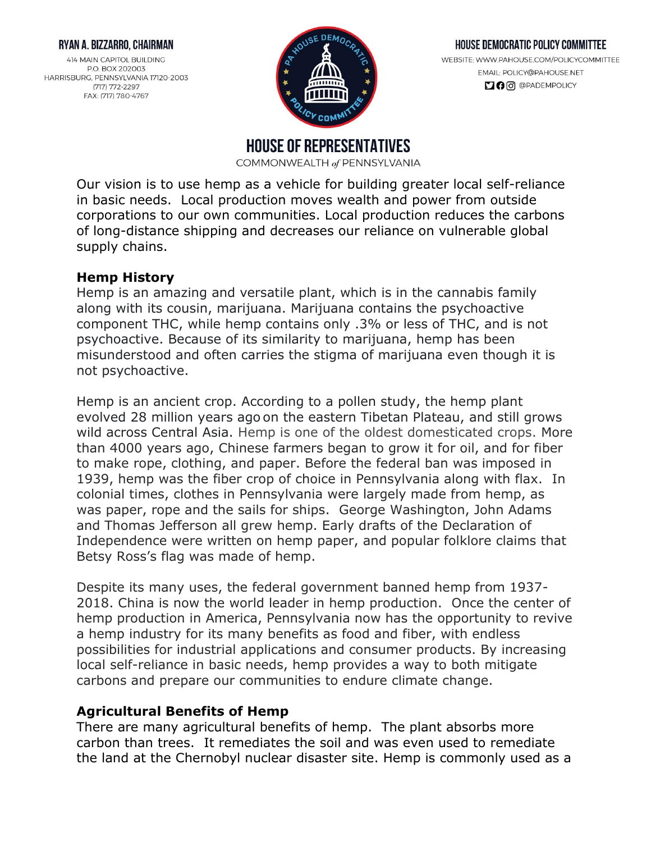414 MAIN CAPITOL BUILDING P.O. BOX 202003 HARRISBURG, PENNSYLVANIA 17120-2003 (717) 772-2297 FAX: (717) 780-4767



### **HOUSE DEMOCRATIC POLICY COMMITTEE** WEBSITE: WWW.PAHOUSE.COM/POLICYCOMMITTEE EMAIL: POLICY@PAHOUSE.NET **DO** @PADEMPOLICY

**HOUSE OF REPRESENTATIVES** 

COMMONWEALTH of PENNSYLVANIA

Our vision is to use hemp as a vehicle for building greater local self-reliance in basic needs. Local production moves wealth and power from outside corporations to our own communities. Local production reduces the carbons of long-distance shipping and decreases our reliance on vulnerable global supply chains.

### **Hemp History**

Hemp is an amazing and versatile plant, which is in the cannabis family along with its cousin, marijuana. Marijuana contains the psychoactive component THC, while hemp contains only .3% or less of THC, and is not psychoactive. Because of its similarity to marijuana, hemp has been misunderstood and often carries the stigma of marijuana even though it is not psychoactive.

Hemp is an ancient crop. According to a pollen study, the hemp plant evolved 28 million years ago on the eastern Tibetan Plateau, and still grows wild across Central Asia. Hemp is one of the oldest domesticated crops. More than 4000 years ago, Chinese farmers began to grow it for oil, and for fiber to make rope, clothing, and paper. Before the federal ban was imposed in 1939, hemp was the fiber crop of choice in Pennsylvania along with flax. In colonial times, clothes in Pennsylvania were largely made from hemp, as was paper, rope and the sails for ships. George Washington, John Adams and Thomas Jefferson all grew hemp. Early drafts of the Declaration of Independence were written on hemp paper, and popular folklore claims that Betsy Ross's flag was made of hemp.

Despite its many uses, the federal government banned hemp from 1937- 2018. China is now the world leader in hemp production. Once the center of hemp production in America, Pennsylvania now has the opportunity to revive a hemp industry for its many benefits as food and fiber, with endless possibilities for industrial applications and consumer products. By increasing local self-reliance in basic needs, hemp provides a way to both mitigate carbons and prepare our communities to endure climate change.

### **Agricultural Benefits of Hemp**

There are many agricultural benefits of hemp. The plant absorbs more carbon than trees. It remediates the soil and was even used to remediate the land at the Chernobyl nuclear disaster site. Hemp is commonly used as a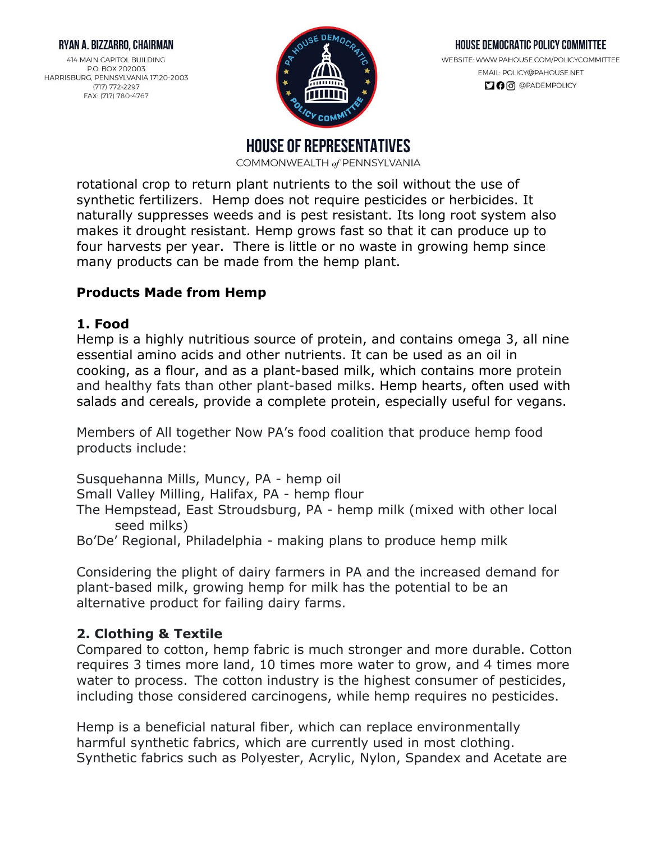414 MAIN CAPITOL BUILDING P.O. BOX 202003 HARRISBURG, PENNSYLVANIA 17120-2003 (717) 772-2297 FAX: (717) 780-4767



### **HOUSE DEMOCRATIC POLICY COMMITTEE** WEBSITE: WWW.PAHOUSE.COM/POLICYCOMMITTEE EMAIL: POLICY@PAHOUSE.NET **DO** @PADEMPOLICY

**HOUSE OF REPRESENTATIVES** 

COMMONWEALTH of PENNSYLVANIA

rotational crop to return plant nutrients to the soil without the use of synthetic fertilizers. Hemp does not require pesticides or herbicides. It naturally suppresses weeds and is pest resistant. Its long root system also makes it drought resistant. Hemp grows fast so that it can produce up to four harvests per year. There is little or no waste in growing hemp since many products can be made from the hemp plant.

### **Products Made from Hemp**

### **1. Food**

Hemp is a highly nutritious source of protein, and contains omega 3, all nine essential amino acids and other nutrients. It can be used as an oil in cooking, as a flour, and as a plant-based milk, which contains more protein and healthy fats than other plant-based milks. Hemp hearts, often used with salads and cereals, provide a complete protein, especially useful for vegans.

Members of All together Now PA's food coalition that produce hemp food products include:

Susquehanna Mills, Muncy, PA - hemp oil

Small Valley Milling, Halifax, PA - hemp flour

- The Hempstead, East Stroudsburg, PA hemp milk (mixed with other local seed milks)
- Bo'De' Regional, Philadelphia making plans to produce hemp milk

Considering the plight of dairy farmers in PA and the increased demand for plant-based milk, growing hemp for milk has the potential to be an alternative product for failing dairy farms.

### **2. Clothing & Textile**

Compared to cotton, hemp fabric is much stronger and more durable. Cotton requires 3 times more land, 10 times more water to grow, and 4 times more water to process.  The cotton industry is the highest consumer of pesticides, including those considered carcinogens, while hemp requires no pesticides.

Hemp is a beneficial natural fiber, which can replace environmentally harmful synthetic fabrics, which are currently used in most clothing. Synthetic fabrics such as Polyester, Acrylic, Nylon, Spandex and Acetate are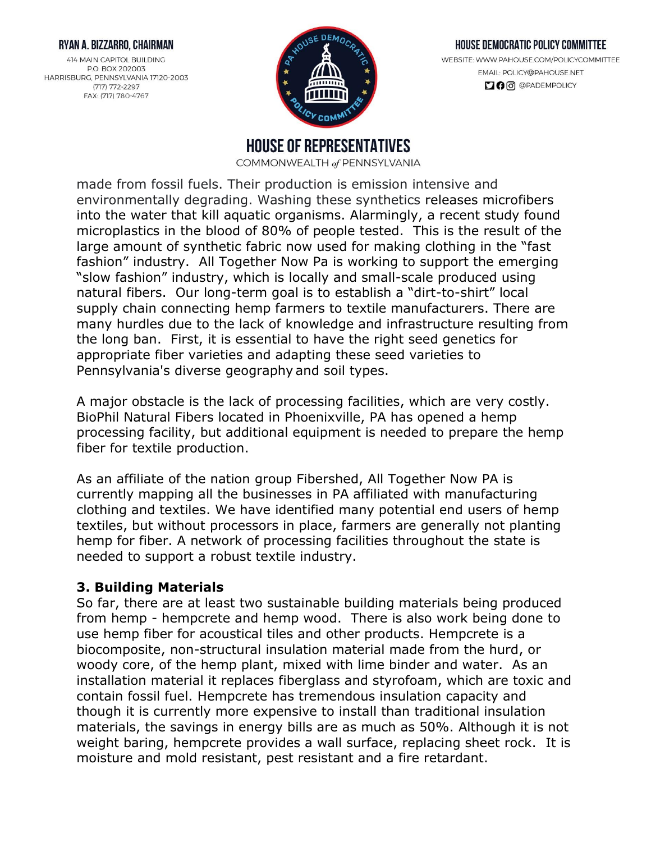414 MAIN CAPITOL BUILDING P.O. BOX 202003 HARRISBURG, PENNSYLVANIA 17120-2003 (717) 772-2297 FAX: (717) 780-4767



### **HOUSE DEMOCRATIC POLICY COMMITTEE**

WEBSITE: WWW.PAHOUSE.COM/POLICYCOMMITTEE EMAIL: POLICY@PAHOUSE.NET **DO** @PADEMPOLICY

**HOUSE OF REPRESENTATIVES** COMMONWEALTH of PENNSYLVANIA

made from fossil fuels. Their production is emission intensive and environmentally degrading. Washing these synthetics releases microfibers into the water that kill aquatic organisms. Alarmingly, a recent study found microplastics in the blood of 80% of people tested. This is the result of the large amount of synthetic fabric now used for making clothing in the "fast fashion" industry. All Together Now Pa is working to support the emerging "slow fashion" industry, which is locally and small-scale produced using natural fibers. Our long-term goal is to establish a "dirt-to-shirt" local supply chain connecting hemp farmers to textile manufacturers. There are many hurdles due to the lack of knowledge and infrastructure resulting from the long ban. First, it is essential to have the right seed genetics for appropriate fiber varieties and adapting these seed varieties to Pennsylvania's diverse geography and soil types.

A major obstacle is the lack of processing facilities, which are very costly. BioPhil Natural Fibers located in Phoenixville, PA has opened a hemp processing facility, but additional equipment is needed to prepare the hemp fiber for textile production.

As an affiliate of the nation group Fibershed, All Together Now PA is currently mapping all the businesses in PA affiliated with manufacturing clothing and textiles. We have identified many potential end users of hemp textiles, but without processors in place, farmers are generally not planting hemp for fiber. A network of processing facilities throughout the state is needed to support a robust textile industry.

### **3. Building Materials**

So far, there are at least two sustainable building materials being produced from hemp - hempcrete and hemp wood. There is also work being done to use hemp fiber for acoustical tiles and other products. Hempcrete is a biocomposite, non-structural insulation material made from the hurd, or woody core, of the hemp plant, mixed with lime binder and water. As an installation material it replaces fiberglass and styrofoam, which are toxic and contain fossil fuel. Hempcrete has tremendous insulation capacity and though it is currently more expensive to install than traditional insulation materials, the savings in energy bills are as much as 50%. Although it is not weight baring, hempcrete provides a wall surface, replacing sheet rock. It is moisture and mold resistant, pest resistant and a fire retardant.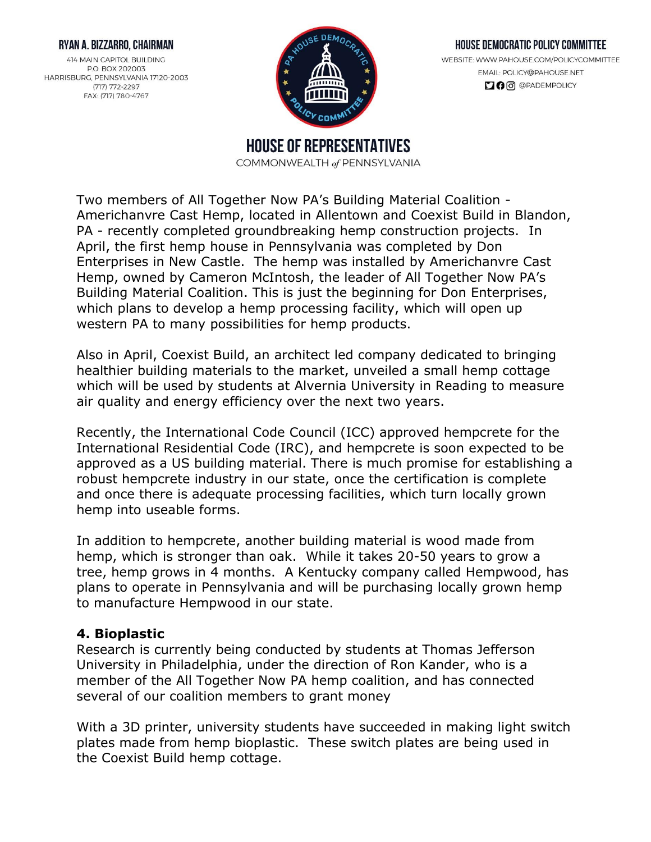414 MAIN CAPITOL BUILDING P.O. BOX 202003 HARRISBURG, PENNSYLVANIA 17120-2003 (717) 772-2297 FAX: (717) 780-4767



### **HOUSE DEMOCRATIC POLICY COMMITTEE**

WEBSITE: WWW.PAHOUSE.COM/POLICYCOMMITTEE EMAIL: POLICY@PAHOUSE.NET **DO** @PADEMPOLICY

**HOUSE OF REPRESENTATIVES** COMMONWEALTH of PENNSYLVANIA

Two members of All Together Now PA's Building Material Coalition - Americhanvre Cast Hemp, located in Allentown and Coexist Build in Blandon, PA - recently completed groundbreaking hemp construction projects. In April, the first hemp house in Pennsylvania was completed by Don Enterprises in New Castle. The hemp was installed by Americhanvre Cast Hemp, owned by Cameron McIntosh, the leader of All Together Now PA's Building Material Coalition. This is just the beginning for Don Enterprises, which plans to develop a hemp processing facility, which will open up western PA to many possibilities for hemp products.

Also in April, Coexist Build, an architect led company dedicated to bringing healthier building materials to the market, unveiled a small hemp cottage which will be used by students at Alvernia University in Reading to measure air quality and energy efficiency over the next two years.

Recently, the International Code Council (ICC) approved hempcrete for the International Residential Code (IRC), and hempcrete is soon expected to be approved as a US building material. There is much promise for establishing a robust hempcrete industry in our state, once the certification is complete and once there is adequate processing facilities, which turn locally grown hemp into useable forms.

In addition to hempcrete, another building material is wood made from hemp, which is stronger than oak. While it takes 20-50 years to grow a tree, hemp grows in 4 months. A Kentucky company called Hempwood, has plans to operate in Pennsylvania and will be purchasing locally grown hemp to manufacture Hempwood in our state.

### **4. Bioplastic**

Research is currently being conducted by students at Thomas Jefferson University in Philadelphia, under the direction of Ron Kander, who is a member of the All Together Now PA hemp coalition, and has connected several of our coalition members to grant money

With a 3D printer, university students have succeeded in making light switch plates made from hemp bioplastic. These switch plates are being used in the Coexist Build hemp cottage.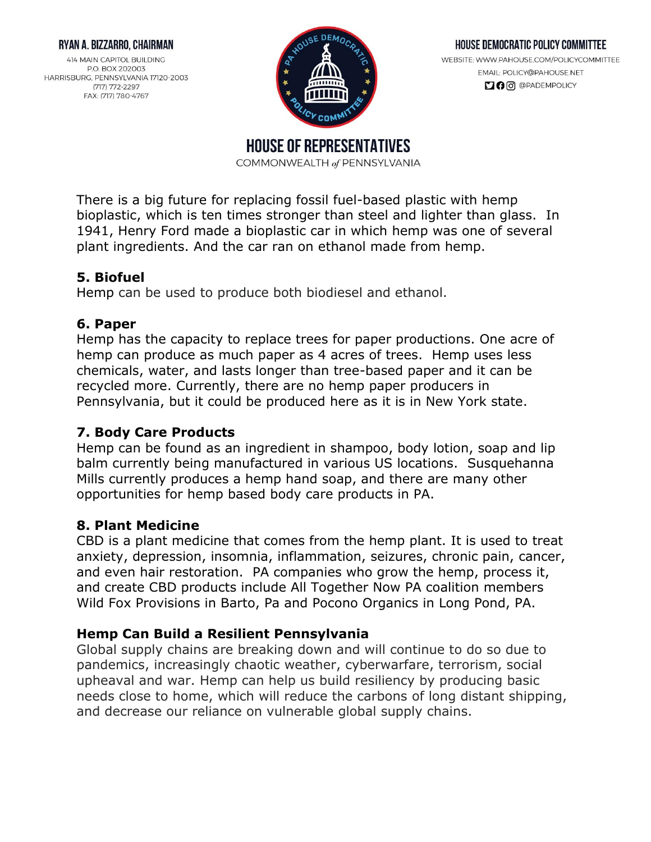414 MAIN CAPITOL BUILDING P.O. BOX 202003 HARRISBURG, PENNSYLVANIA 17120-2003 (717) 772-2297 FAX: (717) 780-4767



**HOUSE DEMOCRATIC POLICY COMMITTEE** WEBSITE: WWW.PAHOUSE.COM/POLICYCOMMITTEE EMAIL: POLICY@PAHOUSE.NET **DO** @PADEMPOLICY

**HOUSE OF REPRESENTATIVES** COMMONWEALTH of PENNSYLVANIA

There is a big future for replacing fossil fuel-based plastic with hemp bioplastic, which is ten times stronger than steel and lighter than glass. In 1941, Henry Ford made a bioplastic car in which hemp was one of several plant ingredients. And the car ran on ethanol made from hemp.

### **5. Biofuel**

Hemp can be used to produce both biodiesel and ethanol.

### **6. Paper**

Hemp has the capacity to replace trees for paper productions. One acre of hemp can produce as much paper as 4 acres of trees. Hemp uses less chemicals, water, and lasts longer than tree-based paper and it can be recycled more. Currently, there are no hemp paper producers in Pennsylvania, but it could be produced here as it is in New York state.

### **7. Body Care Products**

Hemp can be found as an ingredient in shampoo, body lotion, soap and lip balm currently being manufactured in various US locations. Susquehanna Mills currently produces a hemp hand soap, and there are many other opportunities for hemp based body care products in PA.

### **8. Plant Medicine**

CBD is a plant medicine that comes from the hemp plant. It is used to treat anxiety, depression, insomnia, inflammation, seizures, chronic pain, cancer, and even hair restoration. PA companies who grow the hemp, process it, and create CBD products include All Together Now PA coalition members Wild Fox Provisions in Barto, Pa and Pocono Organics in Long Pond, PA.

### **Hemp Can Build a Resilient Pennsylvania**

Global supply chains are breaking down and will continue to do so due to pandemics, increasingly chaotic weather, cyberwarfare, terrorism, social upheaval and war. Hemp can help us build resiliency by producing basic needs close to home, which will reduce the carbons of long distant shipping, and decrease our reliance on vulnerable global supply chains.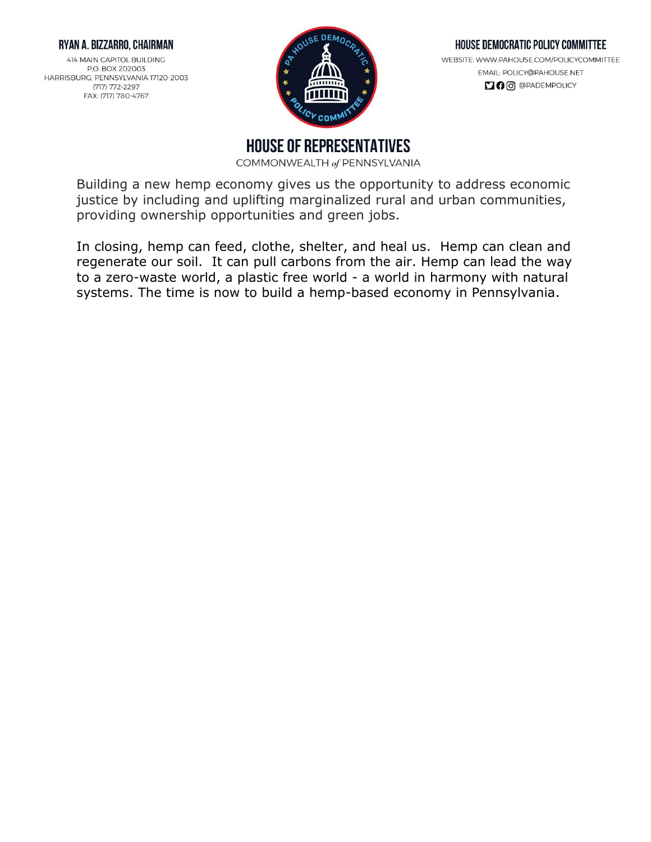414 MAIN CAPITOL BUILDING P.O. BOX 202003 HARRISBURG, PENNSYLVANIA 17120-2003 (717) 772-2297 FAX: (717) 780-4767



HOUSE DEMOCRATIC POLICY COMMITTEE WEBSITE: WWW.PAHOUSE.COM/POLICYCOMMITTEE EMAIL: POLICY@PAHOUSE.NET 

**HOUSE OF REPRESENTATIVES** 

COMMONWEALTH of PENNSYLVANIA

Building a new hemp economy gives us the opportunity to address economic justice by including and uplifting marginalized rural and urban communities, providing ownership opportunities and green jobs.

In closing, hemp can feed, clothe, shelter, and heal us. Hemp can clean and regenerate our soil. It can pull carbons from the air. Hemp can lead the way to a zero-waste world, a plastic free world - a world in harmony with natural systems. The time is now to build a hemp-based economy in Pennsylvania.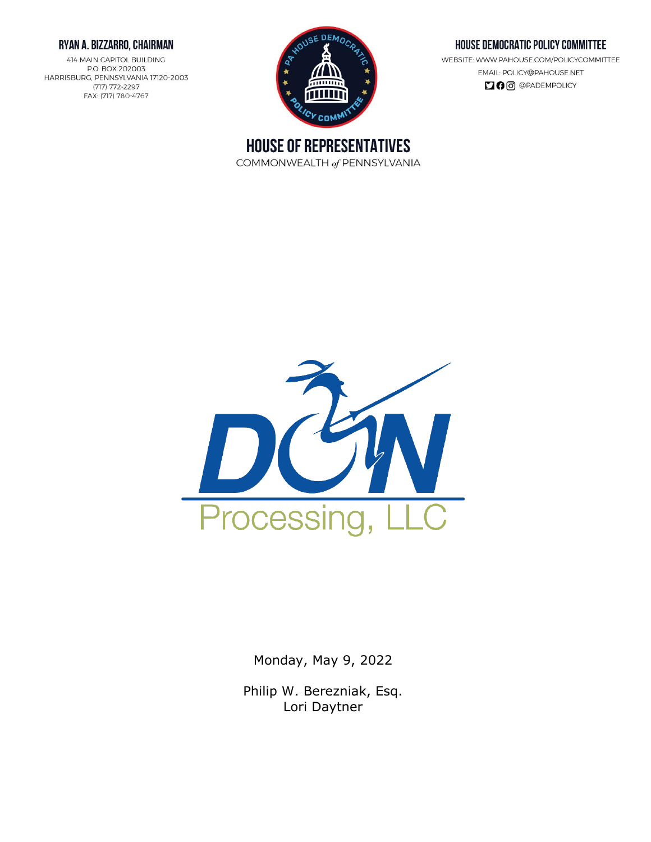414 MAIN CAPITOL BUILDING P.O. BOX 202003 HARRISBURG, PENNSYLVANIA 17120-2003 (717) 772-2297 FAX: (717) 780-4767



#### HOUSE DEMOCRATIC POLICY COMMITTEE

WEBSITE: WWW.PAHOUSE.COM/POLICYCOMMITTEE EMAIL: POLICY@PAHOUSE.NET **DO** @PADEMPOLICY

**HOUSE OF REPRESENTATIVES** COMMONWEALTH of PENNSYLVANIA



Monday, May 9, 2022

Philip W. Berezniak, Esq. Lori Daytner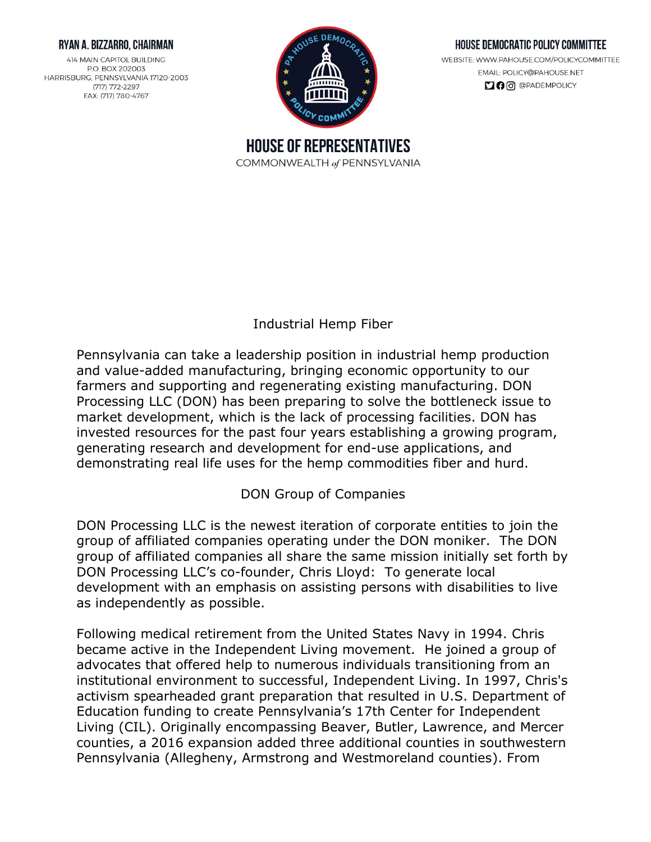414 MAIN CAPITOL BUILDING P.O. BOX 202003 HARRISBURG, PENNSYLVANIA 17120-2003 (717) 772-2297 FAX: (717) 780-4767



#### **HOUSE DEMOCRATIC POLICY COMMITTEE**

WEBSITE: WWW.PAHOUSE.COM/POLICYCOMMITTEE EMAIL: POLICY@PAHOUSE.NET **DO** @PADEMPOLICY

**HOUSE OF REPRESENTATIVES** COMMONWEALTH of PENNSYLVANIA

### Industrial Hemp Fiber

Pennsylvania can take a leadership position in industrial hemp production and value-added manufacturing, bringing economic opportunity to our farmers and supporting and regenerating existing manufacturing. DON Processing LLC (DON) has been preparing to solve the bottleneck issue to market development, which is the lack of processing facilities. DON has invested resources for the past four years establishing a growing program, generating research and development for end-use applications, and demonstrating real life uses for the hemp commodities fiber and hurd.

### DON Group of Companies

DON Processing LLC is the newest iteration of corporate entities to join the group of affiliated companies operating under the DON moniker. The DON group of affiliated companies all share the same mission initially set forth by DON Processing LLC's co-founder, Chris Lloyd: To generate local development with an emphasis on assisting persons with disabilities to live as independently as possible.

Following medical retirement from the United States Navy in 1994. Chris became active in the Independent Living movement. He joined a group of advocates that offered help to numerous individuals transitioning from an institutional environment to successful, Independent Living. In 1997, Chris's activism spearheaded grant preparation that resulted in U.S. Department of Education funding to create Pennsylvania's 17th Center for Independent Living (CIL). Originally encompassing Beaver, Butler, Lawrence, and Mercer counties, a 2016 expansion added three additional counties in southwestern Pennsylvania (Allegheny, Armstrong and Westmoreland counties). From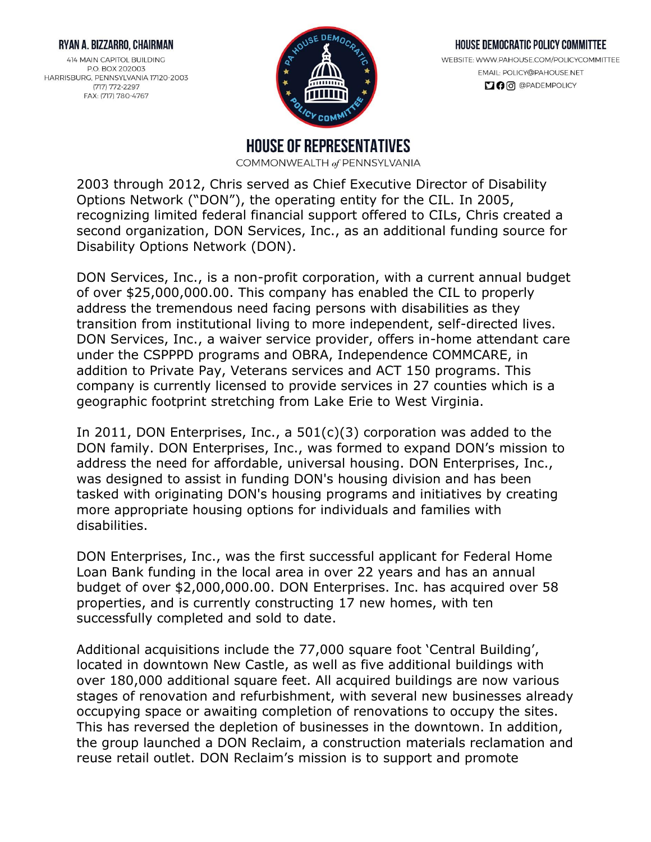414 MAIN CAPITOL BUILDING P.O. BOX 202003 HARRISBURG, PENNSYLVANIA 17120-2003 (717) 772-2297 FAX: (717) 780-4767



### **HOUSE DEMOCRATIC POLICY COMMITTEE** WEBSITE: WWW.PAHOUSE.COM/POLICYCOMMITTEE EMAIL: POLICY@PAHOUSE.NET **DO** @PADEMPOLICY

**HOUSE OF REPRESENTATIVES** COMMONWEALTH of PENNSYLVANIA

2003 through 2012, Chris served as Chief Executive Director of Disability Options Network ("DON"), the operating entity for the CIL. In 2005, recognizing limited federal financial support offered to CILs, Chris created a second organization, DON Services, Inc., as an additional funding source for Disability Options Network (DON).

DON Services, Inc., is a non-profit corporation, with a current annual budget of over \$25,000,000.00. This company has enabled the CIL to properly address the tremendous need facing persons with disabilities as they transition from institutional living to more independent, self-directed lives. DON Services, Inc., a waiver service provider, offers in-home attendant care under the CSPPPD programs and OBRA, Independence COMMCARE, in addition to Private Pay, Veterans services and ACT 150 programs. This company is currently licensed to provide services in 27 counties which is a geographic footprint stretching from Lake Erie to West Virginia.

In 2011, DON Enterprises, Inc., a 501(c)(3) corporation was added to the DON family. DON Enterprises, Inc., was formed to expand DON's mission to address the need for affordable, universal housing. DON Enterprises, Inc., was designed to assist in funding DON's housing division and has been tasked with originating DON's housing programs and initiatives by creating more appropriate housing options for individuals and families with disabilities.

DON Enterprises, Inc., was the first successful applicant for Federal Home Loan Bank funding in the local area in over 22 years and has an annual budget of over \$2,000,000.00. DON Enterprises. Inc. has acquired over 58 properties, and is currently constructing 17 new homes, with ten successfully completed and sold to date.

Additional acquisitions include the 77,000 square foot 'Central Building', located in downtown New Castle, as well as five additional buildings with over 180,000 additional square feet. All acquired buildings are now various stages of renovation and refurbishment, with several new businesses already occupying space or awaiting completion of renovations to occupy the sites. This has reversed the depletion of businesses in the downtown. In addition, the group launched a DON Reclaim, a construction materials reclamation and reuse retail outlet. DON Reclaim's mission is to support and promote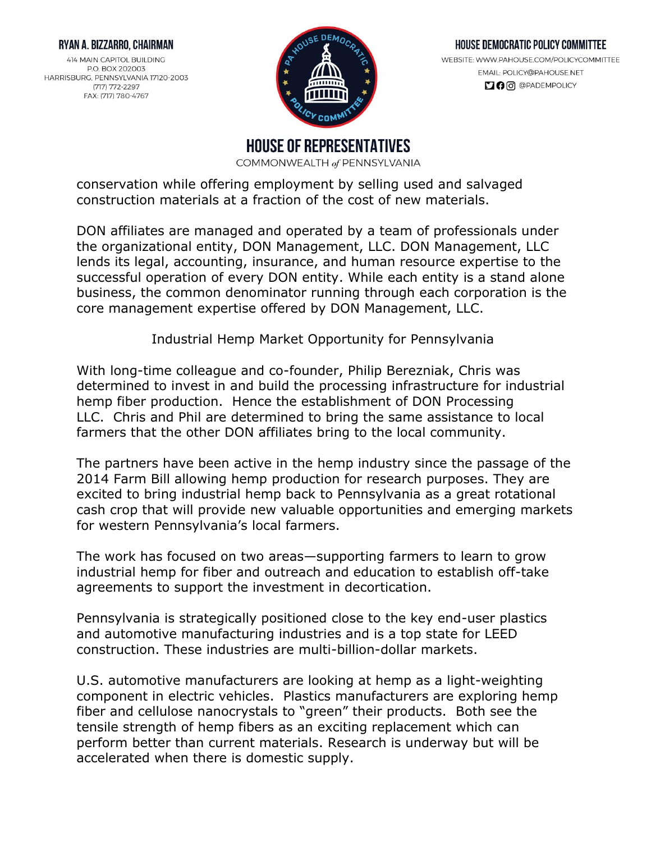414 MAIN CAPITOL BUILDING P.O. BOX 202003 HARRISBURG, PENNSYLVANIA 17120-2003 (717) 772-2297 FAX: (717) 780-4767



### HOUSE DEMOCRATIC POLICY COMMITTEE WEBSITE: WWW.PAHOUSE.COM/POLICYCOMMITTEE EMAIL: POLICY@PAHOUSE.NET **100** @PADEMPOLICY

**HOUSE OF REPRESENTATIVES** COMMONWEALTH of PENNSYLVANIA

conservation while offering employment by selling used and salvaged construction materials at a fraction of the cost of new materials.

DON affiliates are managed and operated by a team of professionals under the organizational entity, DON Management, LLC. DON Management, LLC lends its legal, accounting, insurance, and human resource expertise to the successful operation of every DON entity. While each entity is a stand alone business, the common denominator running through each corporation is the core management expertise offered by DON Management, LLC.

Industrial Hemp Market Opportunity for Pennsylvania

With long-time colleague and co-founder, Philip Berezniak, Chris was determined to invest in and build the processing infrastructure for industrial hemp fiber production. Hence the establishment of DON Processing LLC. Chris and Phil are determined to bring the same assistance to local farmers that the other DON affiliates bring to the local community.

The partners have been active in the hemp industry since the passage of the 2014 Farm Bill allowing hemp production for research purposes. They are excited to bring industrial hemp back to Pennsylvania as a great rotational cash crop that will provide new valuable opportunities and emerging markets for western Pennsylvania's local farmers.

The work has focused on two areas—supporting farmers to learn to grow industrial hemp for fiber and outreach and education to establish off-take agreements to support the investment in decortication.

Pennsylvania is strategically positioned close to the key end-user plastics and automotive manufacturing industries and is a top state for LEED construction. These industries are multi-billion-dollar markets.

U.S. automotive manufacturers are looking at hemp as a light-weighting component in electric vehicles. Plastics manufacturers are exploring hemp fiber and cellulose nanocrystals to "green" their products. Both see the tensile strength of hemp fibers as an exciting replacement which can perform better than current materials. Research is underway but will be accelerated when there is domestic supply.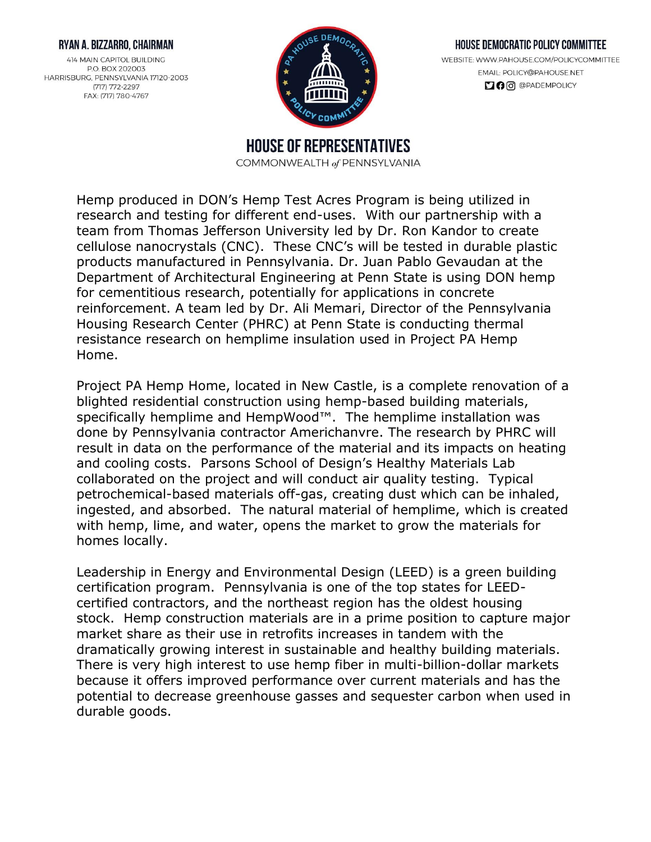414 MAIN CAPITOL BUILDING P.O. BOX 202003 HARRISBURG, PENNSYLVANIA 17120-2003 (717) 772-2297 FAX: (717) 780-4767



### **HOUSE DEMOCRATIC POLICY COMMITTEE**

WEBSITE: WWW.PAHOUSE.COM/POLICYCOMMITTEE EMAIL: POLICY@PAHOUSE.NET **DO** @PADEMPOLICY

**HOUSE OF REPRESENTATIVES** COMMONWEALTH of PENNSYLVANIA

Hemp produced in DON's Hemp Test Acres Program is being utilized in research and testing for different end-uses. With our partnership with a team from Thomas Jefferson University led by Dr. Ron Kandor to create cellulose nanocrystals (CNC). These CNC's will be tested in durable plastic products manufactured in Pennsylvania. Dr. Juan Pablo Gevaudan at the Department of Architectural Engineering at Penn State is using DON hemp for cementitious research, potentially for applications in concrete reinforcement. A team led by Dr. Ali Memari, Director of the Pennsylvania Housing Research Center (PHRC) at Penn State is conducting thermal resistance research on hemplime insulation used in Project PA Hemp Home.

Project PA Hemp Home, located in New Castle, is a complete renovation of a blighted residential construction using hemp-based building materials, specifically hemplime and HempWood™. The hemplime installation was done by Pennsylvania contractor Americhanvre. The research by PHRC will result in data on the performance of the material and its impacts on heating and cooling costs. Parsons School of Design's Healthy Materials Lab collaborated on the project and will conduct air quality testing. Typical petrochemical-based materials off-gas, creating dust which can be inhaled, ingested, and absorbed. The natural material of hemplime, which is created with hemp, lime, and water, opens the market to grow the materials for homes locally.

Leadership in Energy and Environmental Design (LEED) is a green building certification program. Pennsylvania is one of the top states for LEEDcertified contractors, and the northeast region has the oldest housing stock. Hemp construction materials are in a prime position to capture major market share as their use in retrofits increases in tandem with the dramatically growing interest in sustainable and healthy building materials. There is very high interest to use hemp fiber in multi-billion-dollar markets because it offers improved performance over current materials and has the potential to decrease greenhouse gasses and sequester carbon when used in durable goods.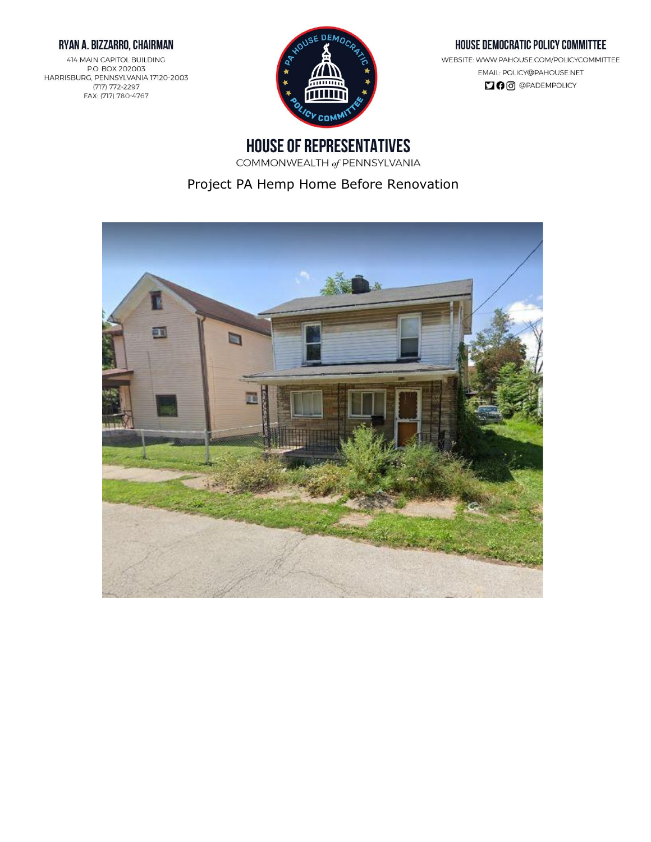414 MAIN CAPITOL BUILDING<br>P.O. BOX 202003 HARRISBURG, PENNSYLVANIA 17120-2003 (717) 772-2297 FAX: (717) 780-4767



#### HOUSE DEMOCRATIC POLICY COMMITTEE

WEBSITE: WWW.PAHOUSE.COM/POLICYCOMMITTEE EMAIL: POLICY@PAHOUSE.NET **DO** @PADEMPOLICY

### **HOUSE OF REPRESENTATIVES** COMMONWEALTH of PENNSYLVANIA

Project PA Hemp Home Before Renovation

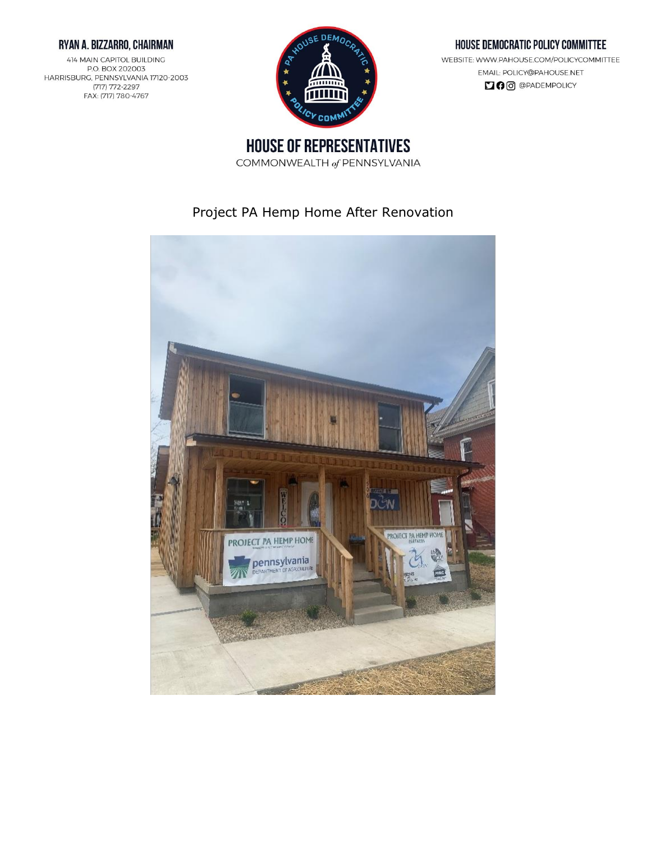414 MAIN CAPITOL BUILDING<br>P.O. BOX 202003 HARRISBURG, PENNSYLVANIA 17120-2003 (717) 772-2297 FAX: (717) 780-4767



#### HOUSE DEMOCRATIC POLICY COMMITTEE

WEBSITE: WWW.PAHOUSE.COM/POLICYCOMMITTEE EMAIL: POLICY@PAHOUSE.NET **DO** @PADEMPOLICY

# COMMONWEALTH of PENNSYLVANIA

**HOUSE OF REPRESENTATIVES** 

### Project PA Hemp Home After Renovation

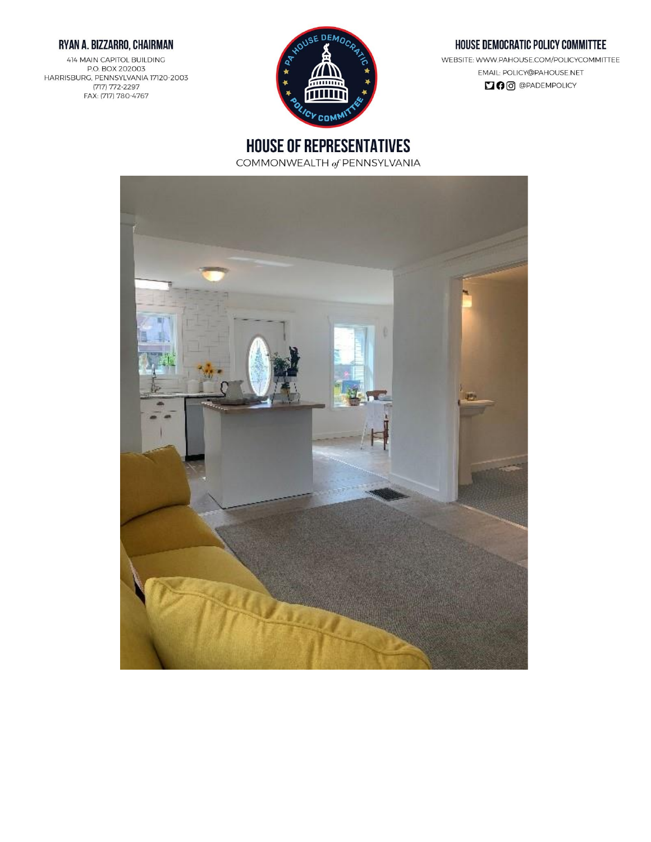414 MAIN CAPITOL BUILDING<br>P.O. BOX 202003 HARRISBURG, PENNSYLVANIA 17120-2003 (717) 772-2297<br>FAX: (717) 780-4767



#### HOUSE DEMOCRATIC POLICY COMMITTEE

WEBSITE: WWW.PAHOUSE.COM/POLICYCOMMITTEE EMAIL: POLICY@PAHOUSE.NET **DO** @PADEMPOLICY

**HOUSE OF REPRESENTATIVES** COMMONWEALTH of PENNSYLVANIA

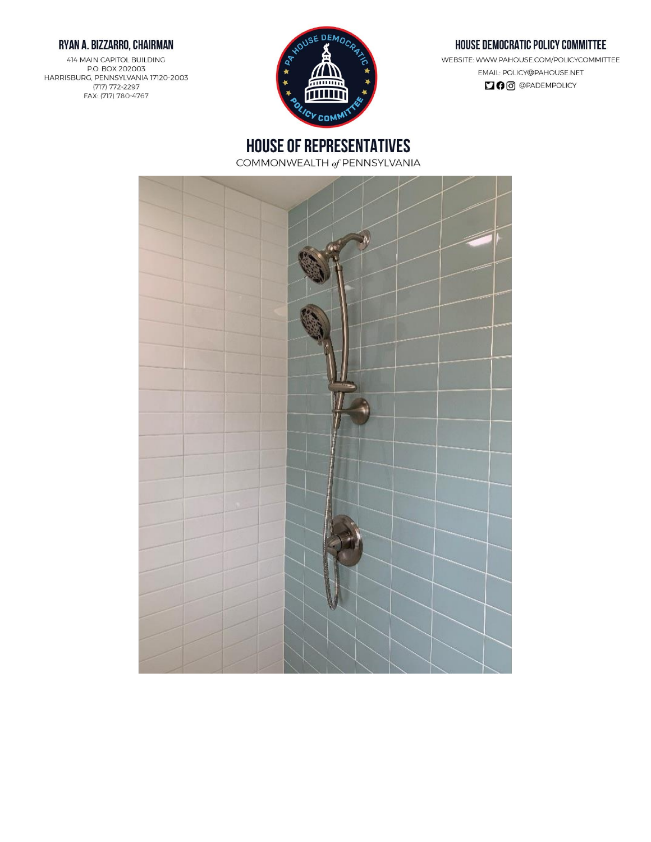414 MAIN CAPITOL BUILDING<br>P.O. BOX 202003 HARRISBURG, PENNSYLVANIA 17120-2003 (717) 772-2297 FAX: (717) 780-4767



### HOUSE DEMOCRATIC POLICY COMMITTEE

WEBSITE: WWW.PAHOUSE.COM/POLICYCOMMITTEE EMAIL: POLICY@PAHOUSE.NET **DO** @PADEMPOLICY

## **HOUSE OF REPRESENTATIVES**

COMMONWEALTH of PENNSYLVANIA